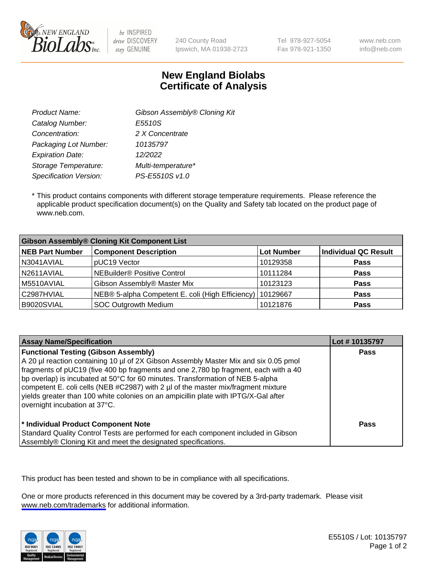

be INSPIRED drive DISCOVERY stay GENUINE

240 County Road Ipswich, MA 01938-2723 Tel 978-927-5054 Fax 978-921-1350 www.neb.com info@neb.com

## **New England Biolabs Certificate of Analysis**

| Gibson Assembly® Cloning Kit |
|------------------------------|
| E5510S                       |
| 2 X Concentrate              |
| 10135797                     |
| 12/2022                      |
| Multi-temperature*           |
| PS-E5510S v1.0               |
|                              |

 \* This product contains components with different storage temperature requirements. Please reference the applicable product specification document(s) on the Quality and Safety tab located on the product page of www.neb.com.

| <b>Gibson Assembly® Cloning Kit Component List</b> |                                                  |            |                             |  |
|----------------------------------------------------|--------------------------------------------------|------------|-----------------------------|--|
| <b>NEB Part Number</b>                             | <b>Component Description</b>                     | Lot Number | <b>Individual QC Result</b> |  |
| N3041AVIAL                                         | pUC19 Vector                                     | 10129358   | <b>Pass</b>                 |  |
| N2611AVIAL                                         | NEBuilder <sup>®</sup> Positive Control          | 10111284   | <b>Pass</b>                 |  |
| M5510AVIAL                                         | Gibson Assembly® Master Mix                      | 10123123   | <b>Pass</b>                 |  |
| C2987HVIAL                                         | NEB® 5-alpha Competent E. coli (High Efficiency) | 10129667   | <b>Pass</b>                 |  |
| B9020SVIAL                                         | <b>SOC Outgrowth Medium</b>                      | 10121876   | <b>Pass</b>                 |  |

| <b>Assay Name/Specification</b>                                                                                                                                                                                                                                                                                                                                                                                                                                                                                           | Lot #10135797 |
|---------------------------------------------------------------------------------------------------------------------------------------------------------------------------------------------------------------------------------------------------------------------------------------------------------------------------------------------------------------------------------------------------------------------------------------------------------------------------------------------------------------------------|---------------|
| <b>Functional Testing (Gibson Assembly)</b><br>A 20 µl reaction containing 10 µl of 2X Gibson Assembly Master Mix and six 0.05 pmol<br>fragments of pUC19 (five 400 bp fragments and one 2,780 bp fragment, each with a 40<br>bp overlap) is incubated at 50°C for 60 minutes. Transformation of NEB 5-alpha<br>competent E. coli cells (NEB #C2987) with 2 µl of the master mix/fragment mixture<br>yields greater than 100 white colonies on an ampicillin plate with IPTG/X-Gal after<br>overnight incubation at 37°C. | Pass          |
| <sup>*</sup> Individual Product Component Note<br>Standard Quality Control Tests are performed for each component included in Gibson<br>Assembly® Cloning Kit and meet the designated specifications.                                                                                                                                                                                                                                                                                                                     | Pass          |

This product has been tested and shown to be in compliance with all specifications.

One or more products referenced in this document may be covered by a 3rd-party trademark. Please visit <www.neb.com/trademarks>for additional information.